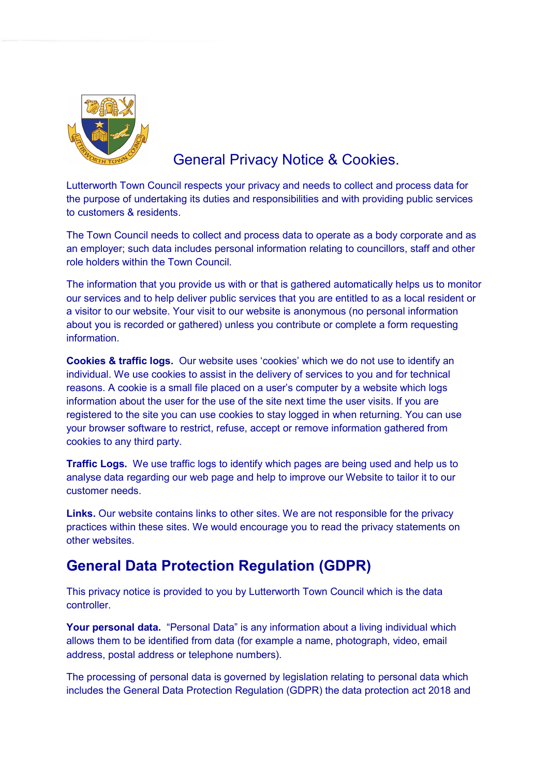

# General Privacy Notice & Cookies.

Lutterworth Town Council respects your privacy and needs to collect and process data for the purpose of undertaking its duties and responsibilities and with providing public services to customers & residents.

The Town Council needs to collect and process data to operate as a body corporate and as an employer; such data includes personal information relating to councillors, staff and other role holders within the Town Council.

The information that you provide us with or that is gathered automatically helps us to monitor our services and to help deliver public services that you are entitled to as a local resident or a visitor to our website. Your visit to our website is anonymous (no personal information about you is recorded or gathered) unless you contribute or complete a form requesting information.

Cookies & traffic logs. Our website uses 'cookies' which we do not use to identify an individual. We use cookies to assist in the delivery of services to you and for technical reasons. A cookie is a small file placed on a user's computer by a website which logs information about the user for the use of the site next time the user visits. If you are registered to the site you can use cookies to stay logged in when returning. You can use your browser software to restrict, refuse, accept or remove information gathered from cookies to any third party.

Traffic Logs. We use traffic logs to identify which pages are being used and help us to analyse data regarding our web page and help to improve our Website to tailor it to our customer needs.

Links. Our website contains links to other sites. We are not responsible for the privacy practices within these sites. We would encourage you to read the privacy statements on other websites.

## General Data Protection Regulation (GDPR)

This privacy notice is provided to you by Lutterworth Town Council which is the data controller.

Your personal data. "Personal Data" is any information about a living individual which allows them to be identified from data (for example a name, photograph, video, email address, postal address or telephone numbers).

The processing of personal data is governed by legislation relating to personal data which includes the General Data Protection Regulation (GDPR) the data protection act 2018 and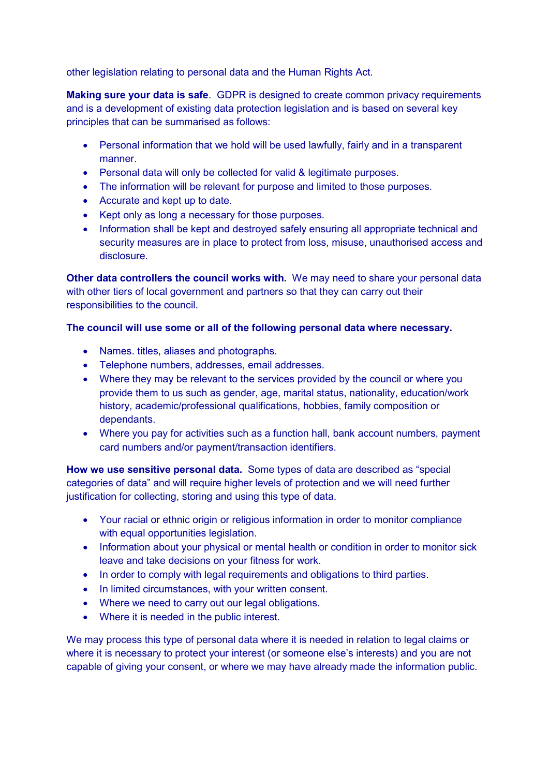other legislation relating to personal data and the Human Rights Act.

**Making sure your data is safe**. GDPR is designed to create common privacy requirements and is a development of existing data protection legislation and is based on several key principles that can be summarised as follows:

- Personal information that we hold will be used lawfully, fairly and in a transparent manner.
- Personal data will only be collected for valid & legitimate purposes.
- The information will be relevant for purpose and limited to those purposes.
- Accurate and kept up to date.
- Kept only as long a necessary for those purposes.
- Information shall be kept and destroyed safely ensuring all appropriate technical and security measures are in place to protect from loss, misuse, unauthorised access and disclosure.

Other data controllers the council works with. We may need to share your personal data with other tiers of local government and partners so that they can carry out their responsibilities to the council.

#### The council will use some or all of the following personal data where necessary.

- Names. titles, aliases and photographs.
- Telephone numbers, addresses, email addresses.
- Where they may be relevant to the services provided by the council or where you provide them to us such as gender, age, marital status, nationality, education/work history, academic/professional qualifications, hobbies, family composition or dependants.
- Where you pay for activities such as a function hall, bank account numbers, payment card numbers and/or payment/transaction identifiers.

How we use sensitive personal data. Some types of data are described as "special categories of data" and will require higher levels of protection and we will need further justification for collecting, storing and using this type of data.

- Your racial or ethnic origin or religious information in order to monitor compliance with equal opportunities legislation.
- Information about your physical or mental health or condition in order to monitor sick leave and take decisions on your fitness for work.
- In order to comply with legal requirements and obligations to third parties.
- In limited circumstances, with your written consent.
- Where we need to carry out our legal obligations.
- Where it is needed in the public interest.

We may process this type of personal data where it is needed in relation to legal claims or where it is necessary to protect your interest (or someone else's interests) and you are not capable of giving your consent, or where we may have already made the information public.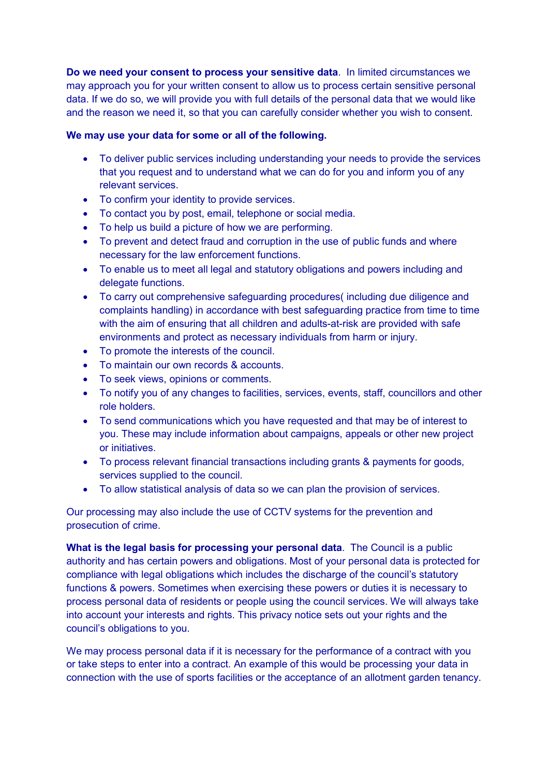Do we need your consent to process your sensitive data. In limited circumstances we may approach you for your written consent to allow us to process certain sensitive personal data. If we do so, we will provide you with full details of the personal data that we would like and the reason we need it, so that you can carefully consider whether you wish to consent.

### We may use your data for some or all of the following.

- To deliver public services including understanding your needs to provide the services that you request and to understand what we can do for you and inform you of any relevant services.
- To confirm your identity to provide services.
- To contact you by post, email, telephone or social media.
- To help us build a picture of how we are performing.
- To prevent and detect fraud and corruption in the use of public funds and where necessary for the law enforcement functions.
- To enable us to meet all legal and statutory obligations and powers including and delegate functions.
- To carry out comprehensive safeguarding procedures( including due diligence and complaints handling) in accordance with best safeguarding practice from time to time with the aim of ensuring that all children and adults-at-risk are provided with safe environments and protect as necessary individuals from harm or injury.
- To promote the interests of the council.
- To maintain our own records & accounts.
- To seek views, opinions or comments.
- To notify you of any changes to facilities, services, events, staff, councillors and other role holders.
- To send communications which you have requested and that may be of interest to you. These may include information about campaigns, appeals or other new project or initiatives.
- To process relevant financial transactions including grants & payments for goods, services supplied to the council.
- To allow statistical analysis of data so we can plan the provision of services.

Our processing may also include the use of CCTV systems for the prevention and prosecution of crime.

What is the legal basis for processing your personal data. The Council is a public authority and has certain powers and obligations. Most of your personal data is protected for compliance with legal obligations which includes the discharge of the council's statutory functions & powers. Sometimes when exercising these powers or duties it is necessary to process personal data of residents or people using the council services. We will always take into account your interests and rights. This privacy notice sets out your rights and the council's obligations to you.

We may process personal data if it is necessary for the performance of a contract with you or take steps to enter into a contract. An example of this would be processing your data in connection with the use of sports facilities or the acceptance of an allotment garden tenancy.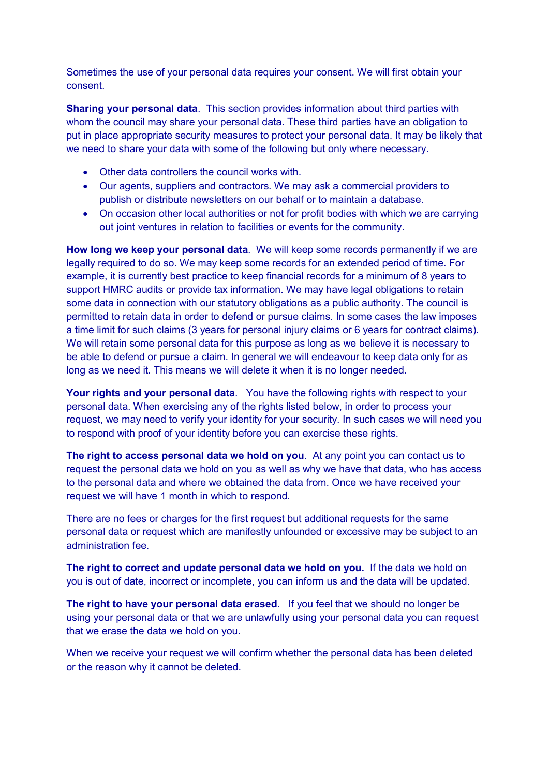Sometimes the use of your personal data requires your consent. We will first obtain your consent.

**Sharing your personal data**. This section provides information about third parties with whom the council may share your personal data. These third parties have an obligation to put in place appropriate security measures to protect your personal data. It may be likely that we need to share your data with some of the following but only where necessary.

- Other data controllers the council works with.
- Our agents, suppliers and contractors. We may ask a commercial providers to publish or distribute newsletters on our behalf or to maintain a database.
- On occasion other local authorities or not for profit bodies with which we are carrying out joint ventures in relation to facilities or events for the community.

How long we keep your personal data. We will keep some records permanently if we are legally required to do so. We may keep some records for an extended period of time. For example, it is currently best practice to keep financial records for a minimum of 8 years to support HMRC audits or provide tax information. We may have legal obligations to retain some data in connection with our statutory obligations as a public authority. The council is permitted to retain data in order to defend or pursue claims. In some cases the law imposes a time limit for such claims (3 years for personal injury claims or 6 years for contract claims). We will retain some personal data for this purpose as long as we believe it is necessary to be able to defend or pursue a claim. In general we will endeavour to keep data only for as long as we need it. This means we will delete it when it is no longer needed.

Your rights and your personal data. You have the following rights with respect to your personal data. When exercising any of the rights listed below, in order to process your request, we may need to verify your identity for your security. In such cases we will need you to respond with proof of your identity before you can exercise these rights.

The right to access personal data we hold on you. At any point you can contact us to request the personal data we hold on you as well as why we have that data, who has access to the personal data and where we obtained the data from. Once we have received your request we will have 1 month in which to respond.

There are no fees or charges for the first request but additional requests for the same personal data or request which are manifestly unfounded or excessive may be subject to an administration fee.

The right to correct and update personal data we hold on you. If the data we hold on you is out of date, incorrect or incomplete, you can inform us and the data will be updated.

The right to have your personal data erased. If you feel that we should no longer be using your personal data or that we are unlawfully using your personal data you can request that we erase the data we hold on you.

When we receive your request we will confirm whether the personal data has been deleted or the reason why it cannot be deleted.